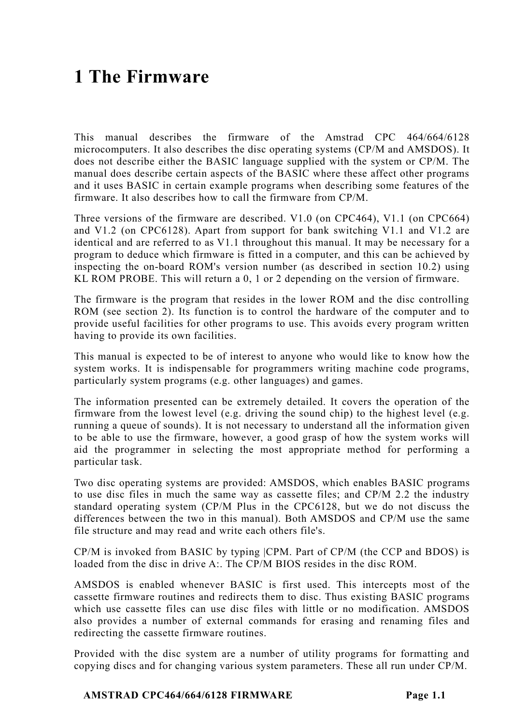# **1 The Firmware**

This manual describes the firmware of the Amstrad CPC 464/664/6128 microcomputers. It also describes the disc operating systems (CP/M and AMSDOS). It does not describe either the BASIC language supplied with the system or CP/M. The manual does describe certain aspects of the BASIC where these affect other programs and it uses BASIC in certain example programs when describing some features of the firmware. It also describes how to call the firmware from CP/M.

Three versions of the firmware are described. V1.0 (on CPC464), V1.1 (on CPC664) and V1.2 (on CPC6128). Apart from support for bank switching V1.1 and V1.2 are identical and are referred to as V1.1 throughout this manual. It may be necessary for a program to deduce which firmware is fitted in a computer, and this can be achieved by inspecting the on-board ROM's version number (as described in section 10.2) using KL ROM PROBE. This will return a 0, 1 or 2 depending on the version of firmware.

The firmware is the program that resides in the lower ROM and the disc controlling ROM (see section 2). Its function is to control the hardware of the computer and to provide useful facilities for other programs to use. This avoids every program written having to provide its own facilities.

This manual is expected to be of interest to anyone who would like to know how the system works. It is indispensable for programmers writing machine code programs, particularly system programs (e.g. other languages) and games.

The information presented can be extremely detailed. It covers the operation of the firmware from the lowest level (e.g. driving the sound chip) to the highest level (e.g. running a queue of sounds). It is not necessary to understand all the information given to be able to use the firmware, however, a good grasp of how the system works will aid the programmer in selecting the most appropriate method for performing a particular task.

Two disc operating systems are provided: AMSDOS, which enables BASIC programs to use disc files in much the same way as cassette files; and CP/M 2.2 the industry standard operating system (CP/M Plus in the CPC6128, but we do not discuss the differences between the two in this manual). Both AMSDOS and CP/M use the same file structure and may read and write each others file's.

CP/M is invoked from BASIC by typing |CPM. Part of CP/M (the CCP and BDOS) is loaded from the disc in drive A:. The CP/M BIOS resides in the disc ROM.

AMSDOS is enabled whenever BASIC is first used. This intercepts most of the cassette firmware routines and redirects them to disc. Thus existing BASIC programs which use cassette files can use disc files with little or no modification. AMSDOS also provides a number of external commands for erasing and renaming files and redirecting the cassette firmware routines.

Provided with the disc system are a number of utility programs for formatting and copying discs and for changing various system parameters. These all run under CP/M.

#### **AMSTRAD CPC464/664/6128 FIRMWARE Page 1.1**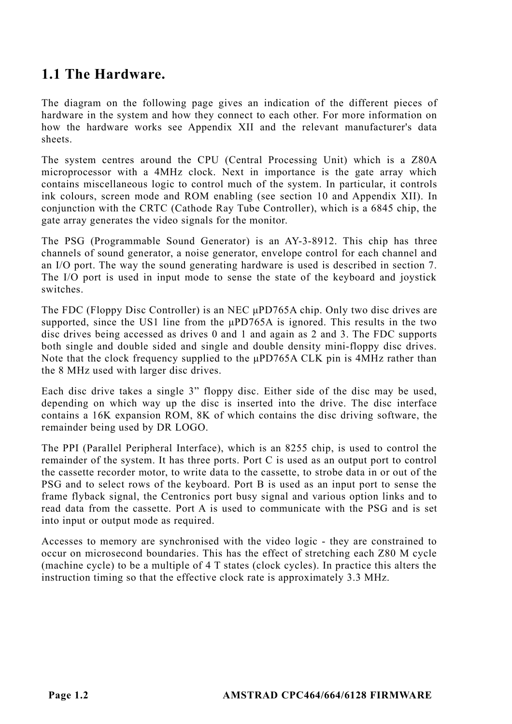# **1.1 The Hardware.**

The diagram on the following page gives an indication of the different pieces of hardware in the system and how they connect to each other. For more information on how the hardware works see Appendix XII and the relevant manufacturer's data sheets.

The system centres around the CPU (Central Processing Unit) which is a Z80A microprocessor with a 4MHz clock. Next in importance is the gate array which contains miscellaneous logic to control much of the system. In particular, it controls ink colours, screen mode and ROM enabling (see section 10 and Appendix XII). In conjunction with the CRTC (Cathode Ray Tube Controller), which is a 6845 chip, the gate array generates the video signals for the monitor.

The PSG (Programmable Sound Generator) is an AY-3-8912. This chip has three channels of sound generator, a noise generator, envelope control for each channel and an I/O port. The way the sound generating hardware is used is described in section 7. The I/O port is used in input mode to sense the state of the keyboard and joystick switches.

The FDC (Floppy Disc Controller) is an NEC μPD765A chip. Only two disc drives are supported, since the US1 line from the μPD765A is ignored. This results in the two disc drives being accessed as drives 0 and 1 and again as 2 and 3. The FDC supports both single and double sided and single and double density mini-floppy disc drives. Note that the clock frequency supplied to the  $\mu$ PD765A CLK pin is 4MHz rather than the 8 MHz used with larger disc drives.

Each disc drive takes a single 3" floppy disc. Either side of the disc may be used, depending on which way up the disc is inserted into the drive. The disc interface contains a 16K expansion ROM, 8K of which contains the disc driving software, the remainder being used by DR LOGO.

The PPI (Parallel Peripheral Interface), which is an 8255 chip, is used to control the remainder of the system. It has three ports. Port C is used as an output port to control the cassette recorder motor, to write data to the cassette, to strobe data in or out of the PSG and to select rows of the keyboard. Port B is used as an input port to sense the frame flyback signal, the Centronics port busy signal and various option links and to read data from the cassette. Port A is used to communicate with the PSG and is set into input or output mode as required.

Accesses to memory are synchronised with the video logic - they are constrained to occur on microsecond boundaries. This has the effect of stretching each Z80 M cycle (machine cycle) to be a multiple of 4 T states (clock cycles). In practice this alters the instruction timing so that the effective clock rate is approximately 3.3 MHz.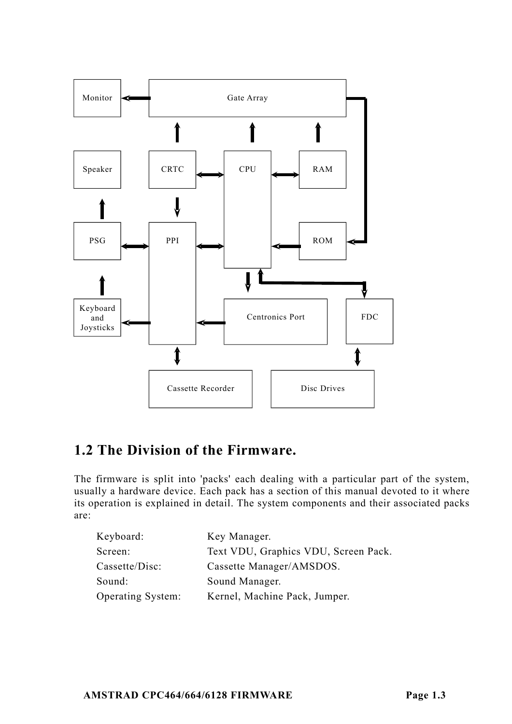

# **1.2 The Division of the Firmware.**

The firmware is split into 'packs' each dealing with a particular part of the system, usually a hardware device. Each pack has a section of this manual devoted to it where its operation is explained in detail. The system components and their associated packs are:

| Keyboard:         | Key Manager.                         |
|-------------------|--------------------------------------|
| Screen:           | Text VDU, Graphics VDU, Screen Pack. |
| Cassette/Disc:    | Cassette Manager/AMSDOS.             |
| Sound:            | Sound Manager.                       |
| Operating System: | Kernel, Machine Pack, Jumper.        |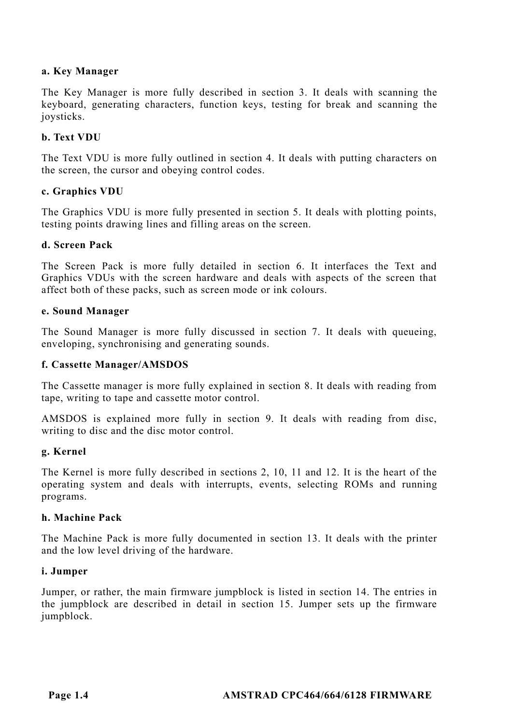#### **a. Key Manager**

The Key Manager is more fully described in section 3. It deals with scanning the keyboard, generating characters, function keys, testing for break and scanning the joysticks.

#### **b. Text VDU**

The Text VDU is more fully outlined in section 4. It deals with putting characters on the screen, the cursor and obeying control codes.

#### **c. Graphics VDU**

The Graphics VDU is more fully presented in section 5. It deals with plotting points, testing points drawing lines and filling areas on the screen.

#### **d. Screen Pack**

The Screen Pack is more fully detailed in section 6. It interfaces the Text and Graphics VDUs with the screen hardware and deals with aspects of the screen that affect both of these packs, such as screen mode or ink colours.

#### **e. Sound Manager**

The Sound Manager is more fully discussed in section 7. It deals with queueing, enveloping, synchronising and generating sounds.

#### **f. Cassette Manager/AMSDOS**

The Cassette manager is more fully explained in section 8. It deals with reading from tape, writing to tape and cassette motor control.

AMSDOS is explained more fully in section 9. It deals with reading from disc, writing to disc and the disc motor control.

#### **g. Kernel**

The Kernel is more fully described in sections 2, 10, 11 and 12. It is the heart of the operating system and deals with interrupts, events, selecting ROMs and running programs.

#### **h. Machine Pack**

The Machine Pack is more fully documented in section 13. It deals with the printer and the low level driving of the hardware.

#### **i. Jumper**

Jumper, or rather, the main firmware jumpblock is listed in section 14. The entries in the jumpblock are described in detail in section 15. Jumper sets up the firmware jumpblock.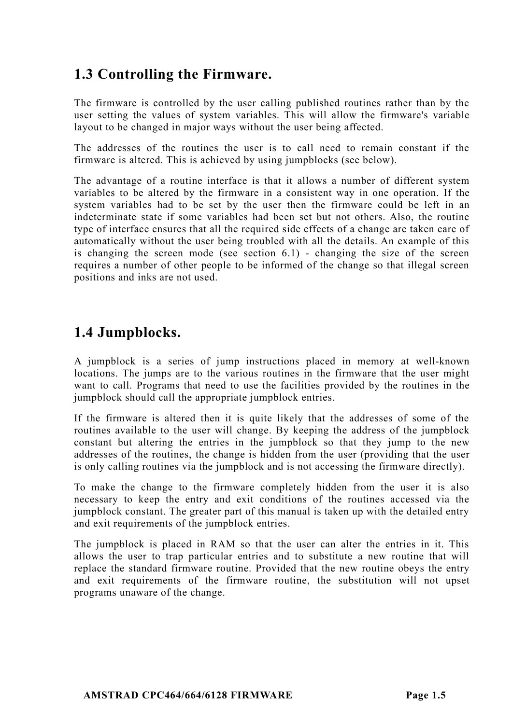# **1.3 Controlling the Firmware.**

The firmware is controlled by the user calling published routines rather than by the user setting the values of system variables. This will allow the firmware's variable layout to be changed in major ways without the user being affected.

The addresses of the routines the user is to call need to remain constant if the firmware is altered. This is achieved by using jumpblocks (see below).

The advantage of a routine interface is that it allows a number of different system variables to be altered by the firmware in a consistent way in one operation. If the system variables had to be set by the user then the firmware could be left in an indeterminate state if some variables had been set but not others. Also, the routine type of interface ensures that all the required side effects of a change are taken care of automatically without the user being troubled with all the details. An example of this is changing the screen mode (see section 6.1) - changing the size of the screen requires a number of other people to be informed of the change so that illegal screen positions and inks are not used.

## **1.4 Jumpblocks.**

A jumpblock is a series of jump instructions placed in memory at well-known locations. The jumps are to the various routines in the firmware that the user might want to call. Programs that need to use the facilities provided by the routines in the jumpblock should call the appropriate jumpblock entries.

If the firmware is altered then it is quite likely that the addresses of some of the routines available to the user will change. By keeping the address of the jumpblock constant but altering the entries in the jumpblock so that they jump to the new addresses of the routines, the change is hidden from the user (providing that the user is only calling routines via the jumpblock and is not accessing the firmware directly).

To make the change to the firmware completely hidden from the user it is also necessary to keep the entry and exit conditions of the routines accessed via the jumpblock constant. The greater part of this manual is taken up with the detailed entry and exit requirements of the jumpblock entries.

The jumpblock is placed in RAM so that the user can alter the entries in it. This allows the user to trap particular entries and to substitute a new routine that will replace the standard firmware routine. Provided that the new routine obeys the entry and exit requirements of the firmware routine, the substitution will not upset programs unaware of the change.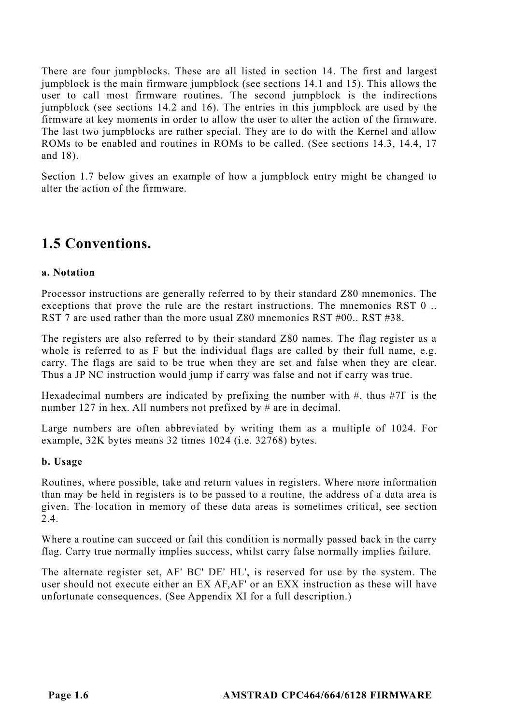There are four jumpblocks. These are all listed in section 14. The first and largest jumpblock is the main firmware jumpblock (see sections 14.1 and 15). This allows the user to call most firmware routines. The second jumpblock is the indirections jumpblock (see sections 14.2 and 16). The entries in this jumpblock are used by the firmware at key moments in order to allow the user to alter the action of the firmware. The last two jumpblocks are rather special. They are to do with the Kernel and allow ROMs to be enabled and routines in ROMs to be called. (See sections 14.3, 14.4, 17 and 18).

Section 1.7 below gives an example of how a jumpblock entry might be changed to alter the action of the firmware.

# **1.5 Conventions.**

#### **a. Notation**

Processor instructions are generally referred to by their standard Z80 mnemonics. The exceptions that prove the rule are the restart instructions. The mnemonics RST 0 .. RST 7 are used rather than the more usual Z80 mnemonics RST #00.. RST #38.

The registers are also referred to by their standard Z80 names. The flag register as a whole is referred to as F but the individual flags are called by their full name, e.g. carry. The flags are said to be true when they are set and false when they are clear. Thus a JP NC instruction would jump if carry was false and not if carry was true.

Hexadecimal numbers are indicated by prefixing the number with  $\#$ , thus  $\#7F$  is the number 127 in hex. All numbers not prefixed by # are in decimal.

Large numbers are often abbreviated by writing them as a multiple of 1024. For example, 32K bytes means 32 times 1024 (i.e. 32768) bytes.

#### **b. Usage**

Routines, where possible, take and return values in registers. Where more information than may be held in registers is to be passed to a routine, the address of a data area is given. The location in memory of these data areas is sometimes critical, see section  $2.4.$ 

Where a routine can succeed or fail this condition is normally passed back in the carry flag. Carry true normally implies success, whilst carry false normally implies failure.

The alternate register set, AF' BC' DE' HL', is reserved for use by the system. The user should not execute either an EX AF,AF' or an EXX instruction as these will have unfortunate consequences. (See Appendix XI for a full description.)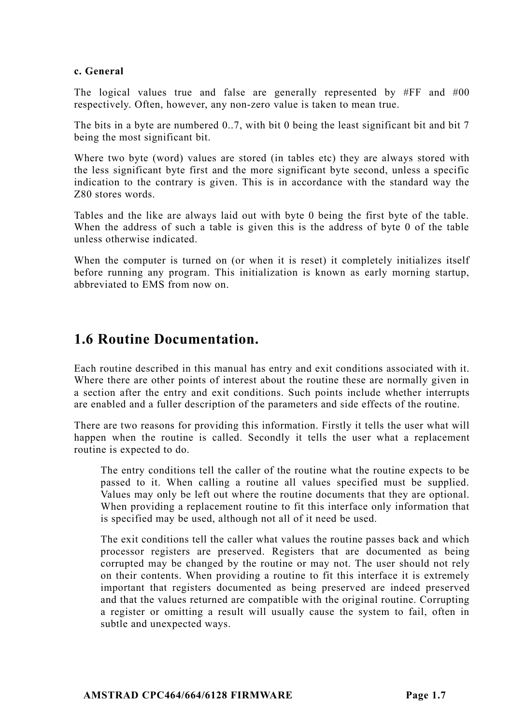#### **c. General**

The logical values true and false are generally represented by #FF and #00 respectively. Often, however, any non-zero value is taken to mean true.

The bits in a byte are numbered 0..7, with bit 0 being the least significant bit and bit 7 being the most significant bit.

Where two byte (word) values are stored (in tables etc) they are always stored with the less significant byte first and the more significant byte second, unless a specific indication to the contrary is given. This is in accordance with the standard way the Z80 stores words.

Tables and the like are always laid out with byte 0 being the first byte of the table. When the address of such a table is given this is the address of byte 0 of the table unless otherwise indicated.

When the computer is turned on (or when it is reset) it completely initializes itself before running any program. This initialization is known as early morning startup, abbreviated to EMS from now on.

### **1.6 Routine Documentation.**

Each routine described in this manual has entry and exit conditions associated with it. Where there are other points of interest about the routine these are normally given in a section after the entry and exit conditions. Such points include whether interrupts are enabled and a fuller description of the parameters and side effects of the routine.

There are two reasons for providing this information. Firstly it tells the user what will happen when the routine is called. Secondly it tells the user what a replacement routine is expected to do.

The entry conditions tell the caller of the routine what the routine expects to be passed to it. When calling a routine all values specified must be supplied. Values may only be left out where the routine documents that they are optional. When providing a replacement routine to fit this interface only information that is specified may be used, although not all of it need be used.

The exit conditions tell the caller what values the routine passes back and which processor registers are preserved. Registers that are documented as being corrupted may be changed by the routine or may not. The user should not rely on their contents. When providing a routine to fit this interface it is extremely important that registers documented as being preserved are indeed preserved and that the values returned are compatible with the original routine. Corrupting a register or omitting a result will usually cause the system to fail, often in subtle and unexpected ways.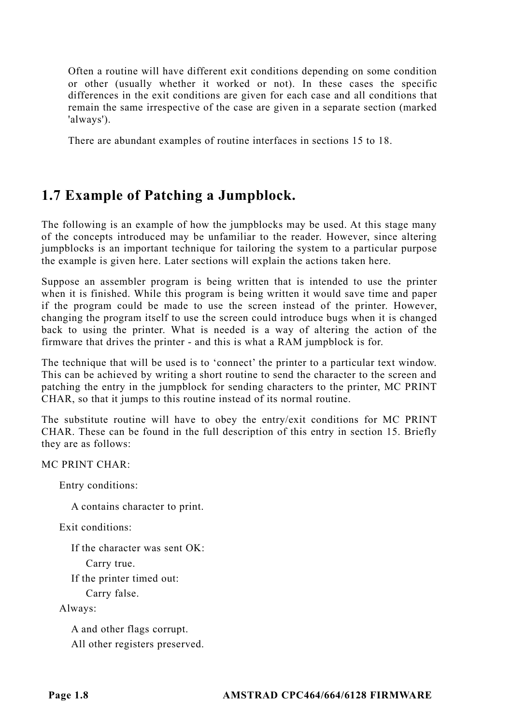Often a routine will have different exit conditions depending on some condition or other (usually whether it worked or not). In these cases the specific differences in the exit conditions are given for each case and all conditions that remain the same irrespective of the case are given in a separate section (marked 'always').

There are abundant examples of routine interfaces in sections 15 to 18.

# **1.7 Example of Patching a Jumpblock.**

The following is an example of how the jumpblocks may be used. At this stage many of the concepts introduced may be unfamiliar to the reader. However, since altering jumpblocks is an important technique for tailoring the system to a particular purpose the example is given here. Later sections will explain the actions taken here.

Suppose an assembler program is being written that is intended to use the printer when it is finished. While this program is being written it would save time and paper if the program could be made to use the screen instead of the printer. However, changing the program itself to use the screen could introduce bugs when it is changed back to using the printer. What is needed is a way of altering the action of the firmware that drives the printer - and this is what a RAM jumpblock is for.

The technique that will be used is to 'connect' the printer to a particular text window. This can be achieved by writing a short routine to send the character to the screen and patching the entry in the jumpblock for sending characters to the printer, MC PRINT CHAR, so that it jumps to this routine instead of its normal routine.

The substitute routine will have to obey the entry/exit conditions for MC PRINT CHAR. These can be found in the full description of this entry in section 15. Briefly they are as follows:

MC PRINT CHAR:

Entry conditions:

A contains character to print.

Exit conditions:

If the character was sent OK:

Carry true.

If the printer timed out:

Carry false.

Always:

A and other flags corrupt. All other registers preserved.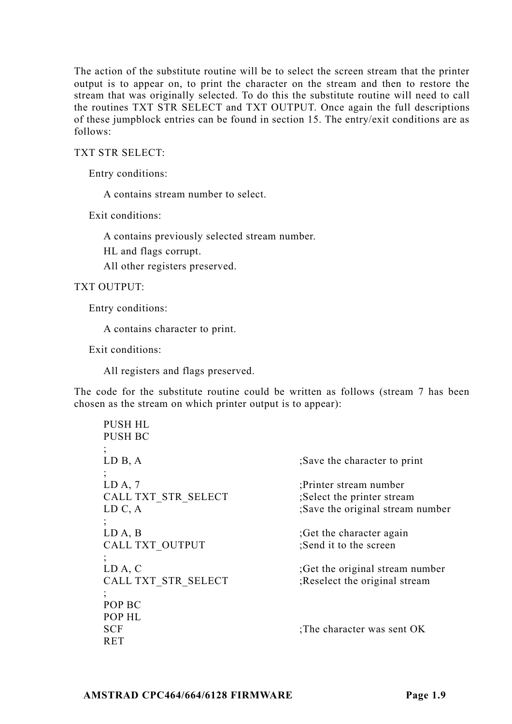The action of the substitute routine will be to select the screen stream that the printer output is to appear on, to print the character on the stream and then to restore the stream that was originally selected. To do this the substitute routine will need to call the routines TXT STR SELECT and TXT OUTPUT. Once again the full descriptions of these jumpblock entries can be found in section 15. The entry/exit conditions are as follows:

TXT STR SELECT:

Entry conditions:

A contains stream number to select.

Exit conditions:

A contains previously selected stream number.

HL and flags corrupt.

All other registers preserved.

#### TXT OUTPUT:

Entry conditions:

A contains character to print.

Exit conditions:

All registers and flags preserved.

The code for the substitute routine could be written as follows (stream 7 has been chosen as the stream on which printer output is to appear):

| PUSH HL<br><b>PUSH BC</b>                    |                                  |
|----------------------------------------------|----------------------------------|
| LD B, A                                      | Save the character to print      |
| LD A, 7                                      | :Printer stream number           |
| CALL TXT STR SELECT                          | ;Select the printer stream       |
| LD C, A                                      | ;Save the original stream number |
| LD A, B                                      | Get the character again          |
| CALL TXT OUTPUT                              | Send it to the screen            |
| LD A, C                                      | Get the original stream number   |
| CALL TXT STR SELECT                          | ;Reselect the original stream    |
| POP BC<br>POP HL<br><b>SCF</b><br><b>RET</b> | :The character was sent OK       |